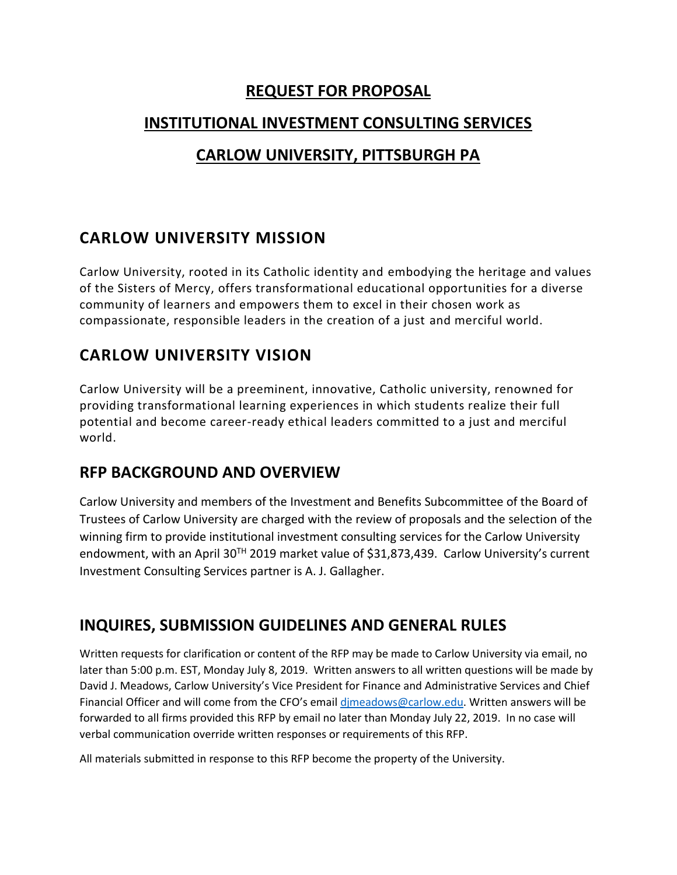#### **REQUEST FOR PROPOSAL**

#### **INSTITUTIONAL INVESTMENT CONSULTING SERVICES**

### **CARLOW UNIVERSITY, PITTSBURGH PA**

## **CARLOW UNIVERSITY MISSION**

Carlow University, rooted in its Catholic identity and embodying the heritage and values of the Sisters of Mercy, offers transformational educational opportunities for a diverse community of learners and empowers them to excel in their chosen work as compassionate, responsible leaders in the creation of a just and merciful world.

# **CARLOW UNIVERSITY VISION**

Carlow University will be a preeminent, innovative, Catholic university, renowned for providing transformational learning experiences in which students realize their full potential and become career-ready ethical leaders committed to a just and merciful world.

#### **RFP BACKGROUND AND OVERVIEW**

Carlow University and members of the Investment and Benefits Subcommittee of the Board of Trustees of Carlow University are charged with the review of proposals and the selection of the winning firm to provide institutional investment consulting services for the Carlow University endowment, with an April 30<sup>TH</sup> 2019 market value of \$31,873,439. Carlow University's current Investment Consulting Services partner is A. J. Gallagher.

#### **INQUIRES, SUBMISSION GUIDELINES AND GENERAL RULES**

Written requests for clarification or content of the RFP may be made to Carlow University via email, no later than 5:00 p.m. EST, Monday July 8, 2019. Written answers to all written questions will be made by David J. Meadows, Carlow University's Vice President for Finance and Administrative Services and Chief Financial Officer and will come from the CFO's email [djmeadows@carlow.edu.](mailto:djmeadows@carlow.edu) Written answers will be forwarded to all firms provided this RFP by email no later than Monday July 22, 2019. In no case will verbal communication override written responses or requirements of this RFP.

All materials submitted in response to this RFP become the property of the University.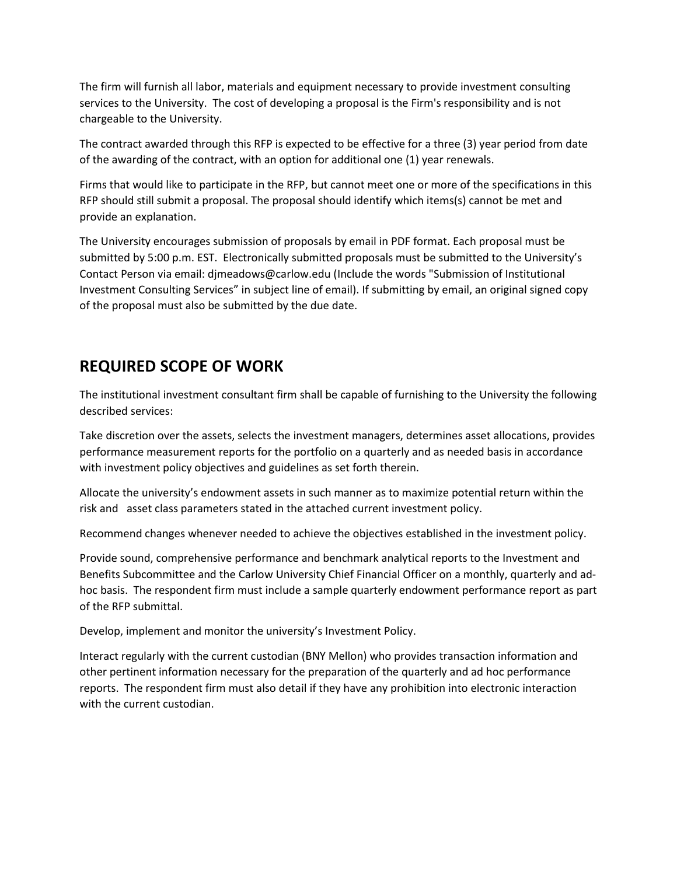The firm will furnish all labor, materials and equipment necessary to provide investment consulting services to the University. The cost of developing a proposal is the Firm's responsibility and is not chargeable to the University.

The contract awarded through this RFP is expected to be effective for a three (3) year period from date of the awarding of the contract, with an option for additional one (1) year renewals.

Firms that would like to participate in the RFP, but cannot meet one or more of the specifications in this RFP should still submit a proposal. The proposal should identify which items(s) cannot be met and provide an explanation.

The University encourages submission of proposals by email in PDF format. Each proposal must be submitted by 5:00 p.m. EST. Electronically submitted proposals must be submitted to the University's Contact Person via email: djmeadows@carlow.edu (Include the words "Submission of Institutional Investment Consulting Services" in subject line of email). If submitting by email, an original signed copy of the proposal must also be submitted by the due date.

#### **REQUIRED SCOPE OF WORK**

The institutional investment consultant firm shall be capable of furnishing to the University the following described services:

Take discretion over the assets, selects the investment managers, determines asset allocations, provides performance measurement reports for the portfolio on a quarterly and as needed basis in accordance with investment policy objectives and guidelines as set forth therein.

Allocate the university's endowment assets in such manner as to maximize potential return within the risk and asset class parameters stated in the attached current investment policy.

Recommend changes whenever needed to achieve the objectives established in the investment policy.

Provide sound, comprehensive performance and benchmark analytical reports to the Investment and Benefits Subcommittee and the Carlow University Chief Financial Officer on a monthly, quarterly and adhoc basis. The respondent firm must include a sample quarterly endowment performance report as part of the RFP submittal.

Develop, implement and monitor the university's Investment Policy.

Interact regularly with the current custodian (BNY Mellon) who provides transaction information and other pertinent information necessary for the preparation of the quarterly and ad hoc performance reports. The respondent firm must also detail if they have any prohibition into electronic interaction with the current custodian.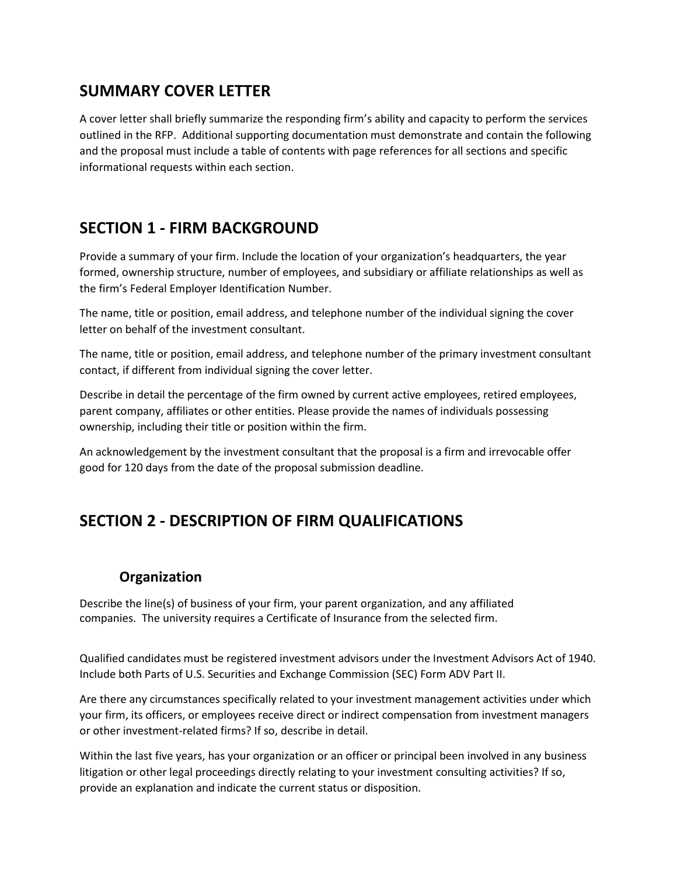### **SUMMARY COVER LETTER**

A cover letter shall briefly summarize the responding firm's ability and capacity to perform the services outlined in the RFP. Additional supporting documentation must demonstrate and contain the following and the proposal must include a table of contents with page references for all sections and specific informational requests within each section.

## **SECTION 1 - FIRM BACKGROUND**

Provide a summary of your firm. Include the location of your organization's headquarters, the year formed, ownership structure, number of employees, and subsidiary or affiliate relationships as well as the firm's Federal Employer Identification Number.

The name, title or position, email address, and telephone number of the individual signing the cover letter on behalf of the investment consultant.

The name, title or position, email address, and telephone number of the primary investment consultant contact, if different from individual signing the cover letter.

Describe in detail the percentage of the firm owned by current active employees, retired employees, parent company, affiliates or other entities. Please provide the names of individuals possessing ownership, including their title or position within the firm.

An acknowledgement by the investment consultant that the proposal is a firm and irrevocable offer good for 120 days from the date of the proposal submission deadline.

# **SECTION 2 - DESCRIPTION OF FIRM QUALIFICATIONS**

#### **Organization**

Describe the line(s) of business of your firm, your parent organization, and any affiliated companies. The university requires a Certificate of Insurance from the selected firm.

Qualified candidates must be registered investment advisors under the Investment Advisors Act of 1940. Include both Parts of U.S. Securities and Exchange Commission (SEC) Form ADV Part II.

Are there any circumstances specifically related to your investment management activities under which your firm, its officers, or employees receive direct or indirect compensation from investment managers or other investment-related firms? If so, describe in detail.

Within the last five years, has your organization or an officer or principal been involved in any business litigation or other legal proceedings directly relating to your investment consulting activities? If so, provide an explanation and indicate the current status or disposition.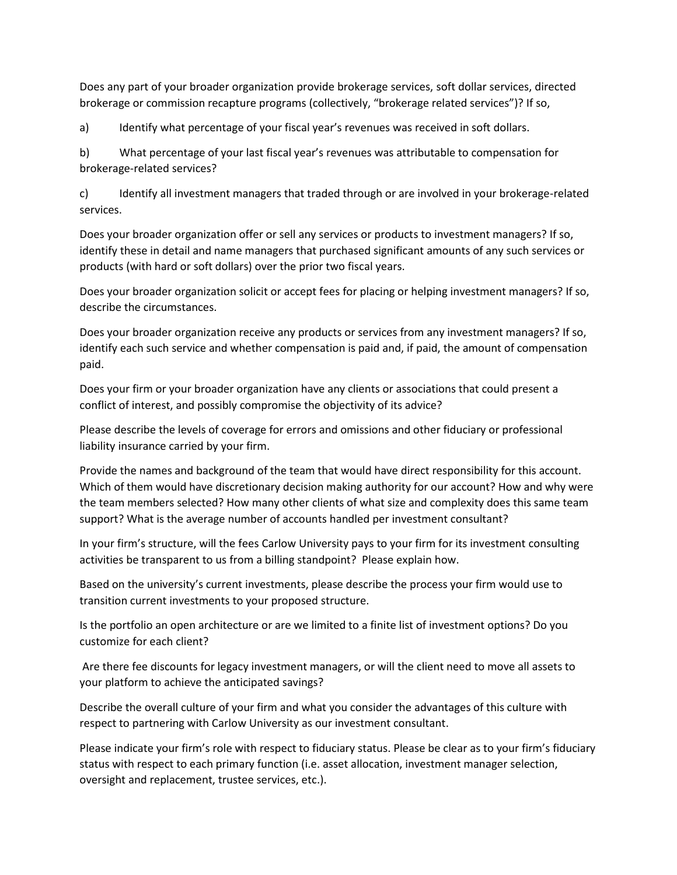Does any part of your broader organization provide brokerage services, soft dollar services, directed brokerage or commission recapture programs (collectively, "brokerage related services")? If so,

a) Identify what percentage of your fiscal year's revenues was received in soft dollars.

b) What percentage of your last fiscal year's revenues was attributable to compensation for brokerage-related services?

c) Identify all investment managers that traded through or are involved in your brokerage-related services.

Does your broader organization offer or sell any services or products to investment managers? If so, identify these in detail and name managers that purchased significant amounts of any such services or products (with hard or soft dollars) over the prior two fiscal years.

Does your broader organization solicit or accept fees for placing or helping investment managers? If so, describe the circumstances.

Does your broader organization receive any products or services from any investment managers? If so, identify each such service and whether compensation is paid and, if paid, the amount of compensation paid.

Does your firm or your broader organization have any clients or associations that could present a conflict of interest, and possibly compromise the objectivity of its advice?

Please describe the levels of coverage for errors and omissions and other fiduciary or professional liability insurance carried by your firm.

Provide the names and background of the team that would have direct responsibility for this account. Which of them would have discretionary decision making authority for our account? How and why were the team members selected? How many other clients of what size and complexity does this same team support? What is the average number of accounts handled per investment consultant?

In your firm's structure, will the fees Carlow University pays to your firm for its investment consulting activities be transparent to us from a billing standpoint? Please explain how.

Based on the university's current investments, please describe the process your firm would use to transition current investments to your proposed structure.

Is the portfolio an open architecture or are we limited to a finite list of investment options? Do you customize for each client?

Are there fee discounts for legacy investment managers, or will the client need to move all assets to your platform to achieve the anticipated savings?

Describe the overall culture of your firm and what you consider the advantages of this culture with respect to partnering with Carlow University as our investment consultant.

Please indicate your firm's role with respect to fiduciary status. Please be clear as to your firm's fiduciary status with respect to each primary function (i.e. asset allocation, investment manager selection, oversight and replacement, trustee services, etc.).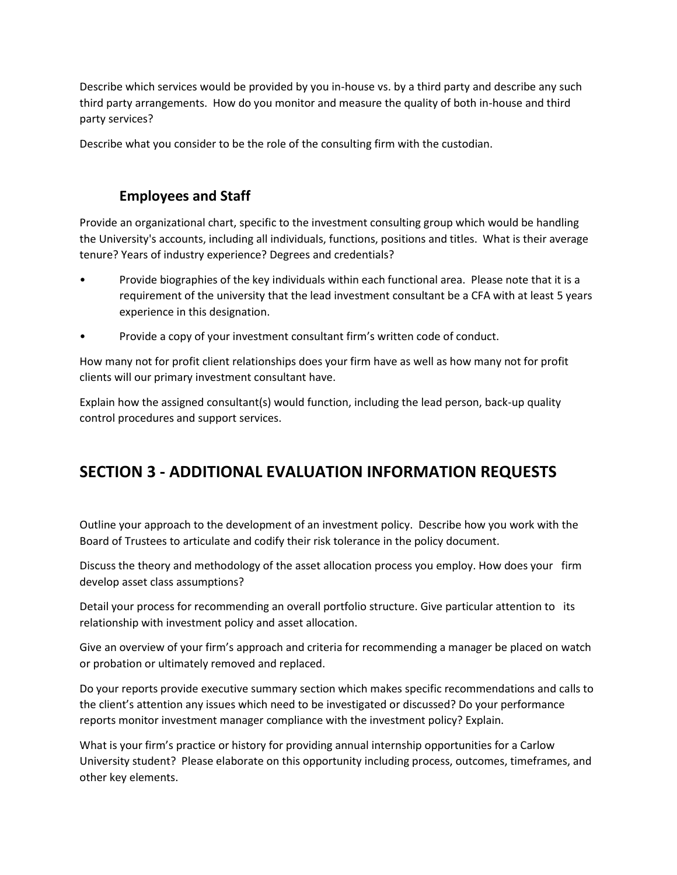Describe which services would be provided by you in-house vs. by a third party and describe any such third party arrangements. How do you monitor and measure the quality of both in-house and third party services?

Describe what you consider to be the role of the consulting firm with the custodian.

#### **Employees and Staff**

Provide an organizational chart, specific to the investment consulting group which would be handling the University's accounts, including all individuals, functions, positions and titles. What is their average tenure? Years of industry experience? Degrees and credentials?

- Provide biographies of the key individuals within each functional area. Please note that it is a requirement of the university that the lead investment consultant be a CFA with at least 5 years experience in this designation.
- Provide a copy of your investment consultant firm's written code of conduct.

How many not for profit client relationships does your firm have as well as how many not for profit clients will our primary investment consultant have.

Explain how the assigned consultant(s) would function, including the lead person, back-up quality control procedures and support services.

# **SECTION 3 - ADDITIONAL EVALUATION INFORMATION REQUESTS**

Outline your approach to the development of an investment policy. Describe how you work with the Board of Trustees to articulate and codify their risk tolerance in the policy document.

Discuss the theory and methodology of the asset allocation process you employ. How does your firm develop asset class assumptions?

Detail your process for recommending an overall portfolio structure. Give particular attention to its relationship with investment policy and asset allocation.

Give an overview of your firm's approach and criteria for recommending a manager be placed on watch or probation or ultimately removed and replaced.

Do your reports provide executive summary section which makes specific recommendations and calls to the client's attention any issues which need to be investigated or discussed? Do your performance reports monitor investment manager compliance with the investment policy? Explain.

What is your firm's practice or history for providing annual internship opportunities for a Carlow University student? Please elaborate on this opportunity including process, outcomes, timeframes, and other key elements.